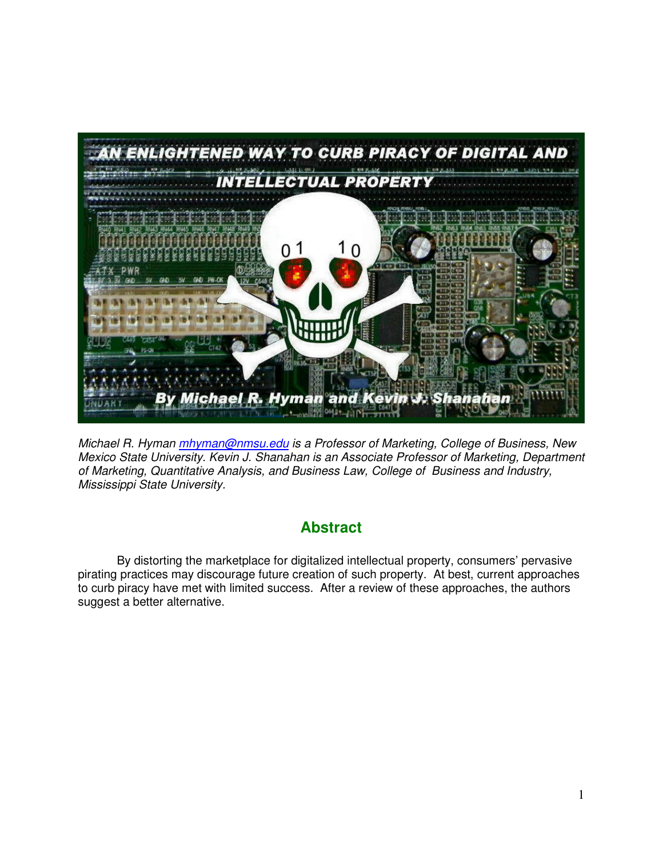

Michael R. Hyman *mhyman@nmsu.edu* is a Professor of Marketing, College of Business, New Mexico State University. Kevin J. Shanahan is an Associate Professor of Marketing, Department of Marketing, Quantitative Analysis, and Business Law, College of Business and Industry, Mississippi State University.

# **Abstract**

By distorting the marketplace for digitalized intellectual property, consumers' pervasive pirating practices may discourage future creation of such property. At best, current approaches to curb piracy have met with limited success. After a review of these approaches, the authors suggest a better alternative.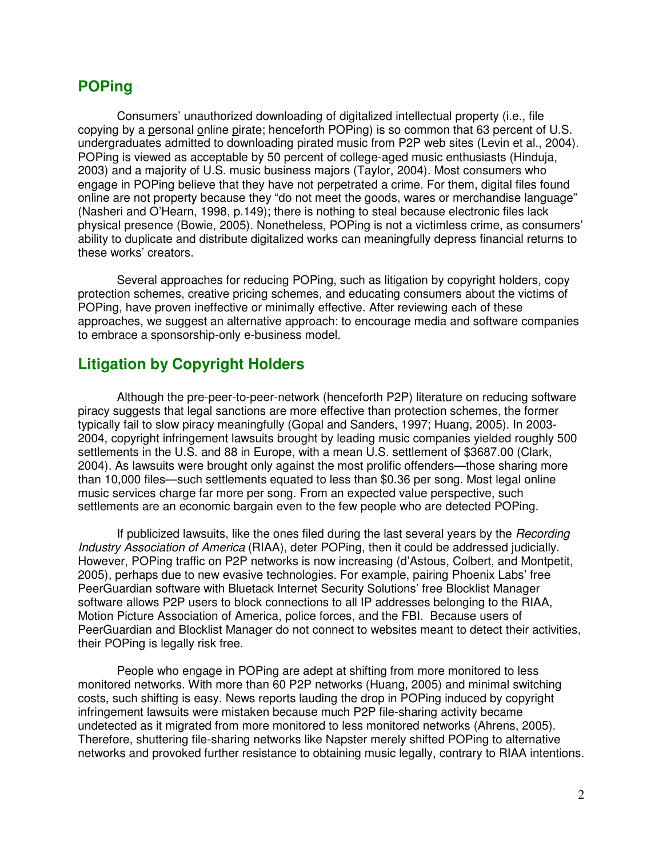# **POPing**

Consumers' unauthorized downloading of digitalized intellectual property (i.e., file copying by a personal online pirate; henceforth POPing) is so common that 63 percent of U.S. undergraduates admitted to downloading pirated music from P2P web sites (Levin et al., 2004). POPing is viewed as acceptable by 50 percent of college-aged music enthusiasts (Hinduja, 2003) and a majority of U.S. music business majors (Taylor, 2004). Most consumers who engage in POPing believe that they have not perpetrated a crime. For them, digital files found online are not property because they "do not meet the goods, wares or merchandise language" (Nasheri and O'Hearn, 1998, p.149); there is nothing to steal because electronic files lack physical presence (Bowie, 2005). Nonetheless, POPing is not a victimless crime, as consumers' ability to duplicate and distribute digitalized works can meaningfully depress financial returns to these works' creators.

 Several approaches for reducing POPing, such as litigation by copyright holders, copy protection schemes, creative pricing schemes, and educating consumers about the victims of POPing, have proven ineffective or minimally effective. After reviewing each of these approaches, we suggest an alternative approach: to encourage media and software companies to embrace a sponsorship-only e-business model.

#### **Litigation by Copyright Holders**

Although the pre-peer-to-peer-network (henceforth P2P) literature on reducing software piracy suggests that legal sanctions are more effective than protection schemes, the former typically fail to slow piracy meaningfully (Gopal and Sanders, 1997; Huang, 2005). In 2003- 2004, copyright infringement lawsuits brought by leading music companies yielded roughly 500 settlements in the U.S. and 88 in Europe, with a mean U.S. settlement of \$3687.00 (Clark, 2004). As lawsuits were brought only against the most prolific offenders—those sharing more than 10,000 files—such settlements equated to less than \$0.36 per song. Most legal online music services charge far more per song. From an expected value perspective, such settlements are an economic bargain even to the few people who are detected POPing.

If publicized lawsuits, like the ones filed during the last several years by the *Recording* Industry Association of America (RIAA), deter POPing, then it could be addressed judicially. However, POPing traffic on P2P networks is now increasing (d'Astous, Colbert, and Montpetit, 2005), perhaps due to new evasive technologies. For example, pairing Phoenix Labs' free PeerGuardian software with Bluetack Internet Security Solutions' free Blocklist Manager software allows P2P users to block connections to all IP addresses belonging to the RIAA, Motion Picture Association of America, police forces, and the FBI. Because users of PeerGuardian and Blocklist Manager do not connect to websites meant to detect their activities, their POPing is legally risk free.

People who engage in POPing are adept at shifting from more monitored to less monitored networks. With more than 60 P2P networks (Huang, 2005) and minimal switching costs, such shifting is easy. News reports lauding the drop in POPing induced by copyright infringement lawsuits were mistaken because much P2P file-sharing activity became undetected as it migrated from more monitored to less monitored networks (Ahrens, 2005). Therefore, shuttering file-sharing networks like Napster merely shifted POPing to alternative networks and provoked further resistance to obtaining music legally, contrary to RIAA intentions.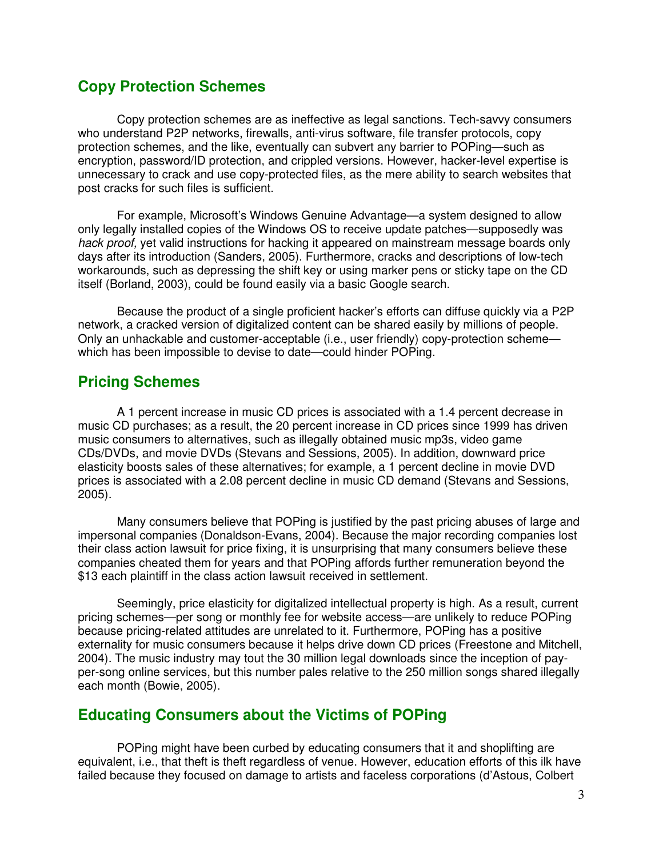### **Copy Protection Schemes**

Copy protection schemes are as ineffective as legal sanctions. Tech-savvy consumers who understand P2P networks, firewalls, anti-virus software, file transfer protocols, copy protection schemes, and the like, eventually can subvert any barrier to POPing—such as encryption, password/ID protection, and crippled versions. However, hacker-level expertise is unnecessary to crack and use copy-protected files, as the mere ability to search websites that post cracks for such files is sufficient.

For example, Microsoft's Windows Genuine Advantage—a system designed to allow only legally installed copies of the Windows OS to receive update patches—supposedly was hack proof, yet valid instructions for hacking it appeared on mainstream message boards only days after its introduction (Sanders, 2005). Furthermore, cracks and descriptions of low-tech workarounds, such as depressing the shift key or using marker pens or sticky tape on the CD itself (Borland, 2003), could be found easily via a basic Google search.

Because the product of a single proficient hacker's efforts can diffuse quickly via a P2P network, a cracked version of digitalized content can be shared easily by millions of people. Only an unhackable and customer-acceptable (i.e., user friendly) copy-protection scheme which has been impossible to devise to date—could hinder POPing.

## **Pricing Schemes**

A 1 percent increase in music CD prices is associated with a 1.4 percent decrease in music CD purchases; as a result, the 20 percent increase in CD prices since 1999 has driven music consumers to alternatives, such as illegally obtained music mp3s, video game CDs/DVDs, and movie DVDs (Stevans and Sessions, 2005). In addition, downward price elasticity boosts sales of these alternatives; for example, a 1 percent decline in movie DVD prices is associated with a 2.08 percent decline in music CD demand (Stevans and Sessions, 2005).

Many consumers believe that POPing is justified by the past pricing abuses of large and impersonal companies (Donaldson-Evans, 2004). Because the major recording companies lost their class action lawsuit for price fixing, it is unsurprising that many consumers believe these companies cheated them for years and that POPing affords further remuneration beyond the \$13 each plaintiff in the class action lawsuit received in settlement.

Seemingly, price elasticity for digitalized intellectual property is high. As a result, current pricing schemes—per song or monthly fee for website access—are unlikely to reduce POPing because pricing-related attitudes are unrelated to it. Furthermore, POPing has a positive externality for music consumers because it helps drive down CD prices (Freestone and Mitchell, 2004). The music industry may tout the 30 million legal downloads since the inception of payper-song online services, but this number pales relative to the 250 million songs shared illegally each month (Bowie, 2005).

## **Educating Consumers about the Victims of POPing**

POPing might have been curbed by educating consumers that it and shoplifting are equivalent, i.e., that theft is theft regardless of venue. However, education efforts of this ilk have failed because they focused on damage to artists and faceless corporations (d'Astous, Colbert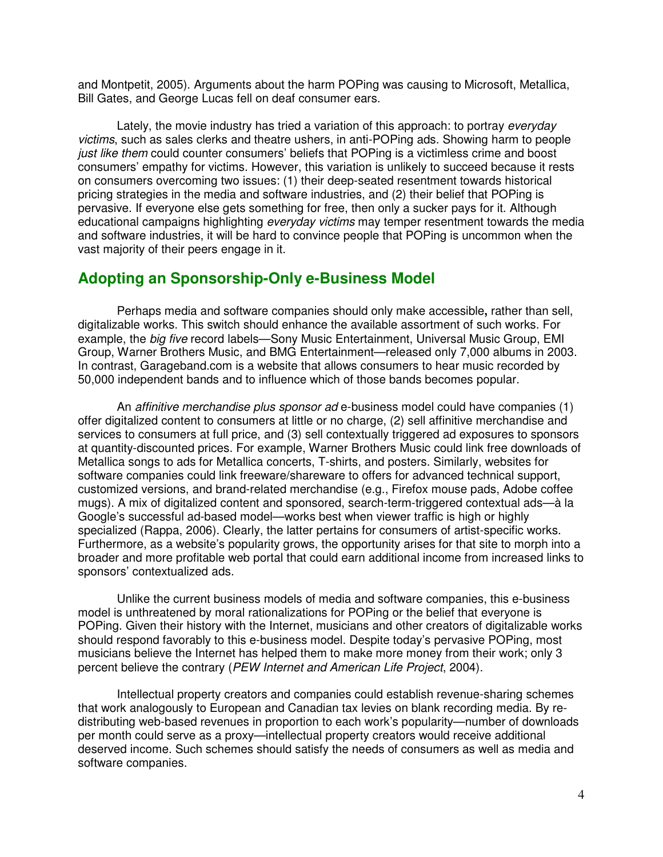and Montpetit, 2005). Arguments about the harm POPing was causing to Microsoft, Metallica, Bill Gates, and George Lucas fell on deaf consumer ears.

Lately, the movie industry has tried a variation of this approach: to portray *everyday* victims, such as sales clerks and theatre ushers, in anti-POPing ads. Showing harm to people just like them could counter consumers' beliefs that POPing is a victimless crime and boost consumers' empathy for victims. However, this variation is unlikely to succeed because it rests on consumers overcoming two issues: (1) their deep-seated resentment towards historical pricing strategies in the media and software industries, and (2) their belief that POPing is pervasive. If everyone else gets something for free, then only a sucker pays for it. Although educational campaigns highlighting *everyday victims* may temper resentment towards the media and software industries, it will be hard to convince people that POPing is uncommon when the vast majority of their peers engage in it.

#### **Adopting an Sponsorship-Only e-Business Model**

 Perhaps media and software companies should only make accessible**,** rather than sell, digitalizable works. This switch should enhance the available assortment of such works. For example, the *big five* record labels—Sony Music Entertainment, Universal Music Group, EMI Group, Warner Brothers Music, and BMG Entertainment—released only 7,000 albums in 2003. In contrast, Garageband.com is a website that allows consumers to hear music recorded by 50,000 independent bands and to influence which of those bands becomes popular.

An *affinitive merchandise plus sponsor ad* e-business model could have companies (1) offer digitalized content to consumers at little or no charge, (2) sell affinitive merchandise and services to consumers at full price, and (3) sell contextually triggered ad exposures to sponsors at quantity-discounted prices. For example, Warner Brothers Music could link free downloads of Metallica songs to ads for Metallica concerts, T-shirts, and posters. Similarly, websites for software companies could link freeware/shareware to offers for advanced technical support, customized versions, and brand-related merchandise (e.g., Firefox mouse pads, Adobe coffee mugs). A mix of digitalized content and sponsored, search-term-triggered contextual ads—à la Google's successful ad-based model—works best when viewer traffic is high or highly specialized (Rappa, 2006). Clearly, the latter pertains for consumers of artist-specific works. Furthermore, as a website's popularity grows, the opportunity arises for that site to morph into a broader and more profitable web portal that could earn additional income from increased links to sponsors' contextualized ads.

 Unlike the current business models of media and software companies, this e-business model is unthreatened by moral rationalizations for POPing or the belief that everyone is POPing. Given their history with the Internet, musicians and other creators of digitalizable works should respond favorably to this e-business model. Despite today's pervasive POPing, most musicians believe the Internet has helped them to make more money from their work; only 3 percent believe the contrary (PEW Internet and American Life Project, 2004).

Intellectual property creators and companies could establish revenue-sharing schemes that work analogously to European and Canadian tax levies on blank recording media. By redistributing web-based revenues in proportion to each work's popularity—number of downloads per month could serve as a proxy—intellectual property creators would receive additional deserved income. Such schemes should satisfy the needs of consumers as well as media and software companies.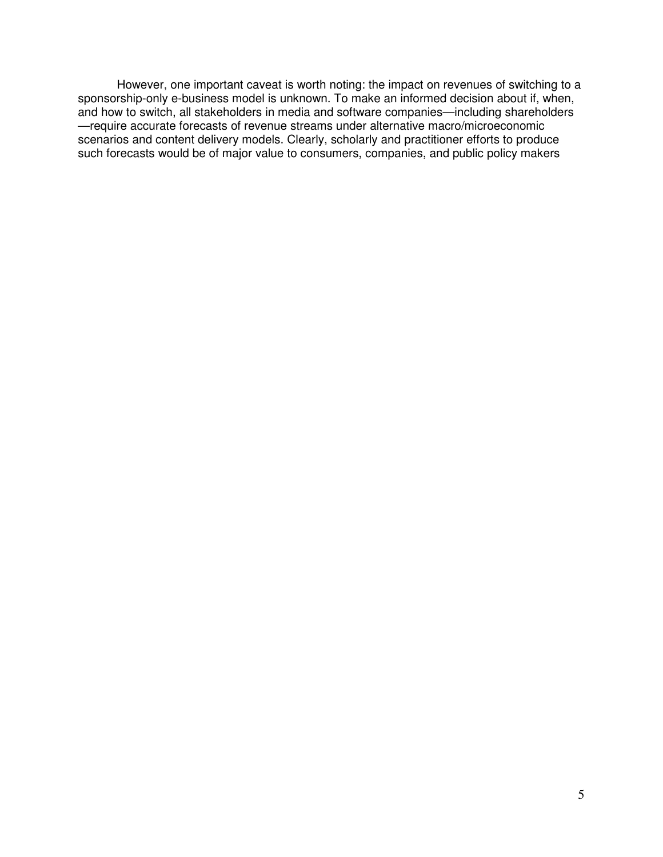However, one important caveat is worth noting: the impact on revenues of switching to a sponsorship-only e-business model is unknown. To make an informed decision about if, when, and how to switch, all stakeholders in media and software companies—including shareholders —require accurate forecasts of revenue streams under alternative macro/microeconomic scenarios and content delivery models. Clearly, scholarly and practitioner efforts to produce such forecasts would be of major value to consumers, companies, and public policy makers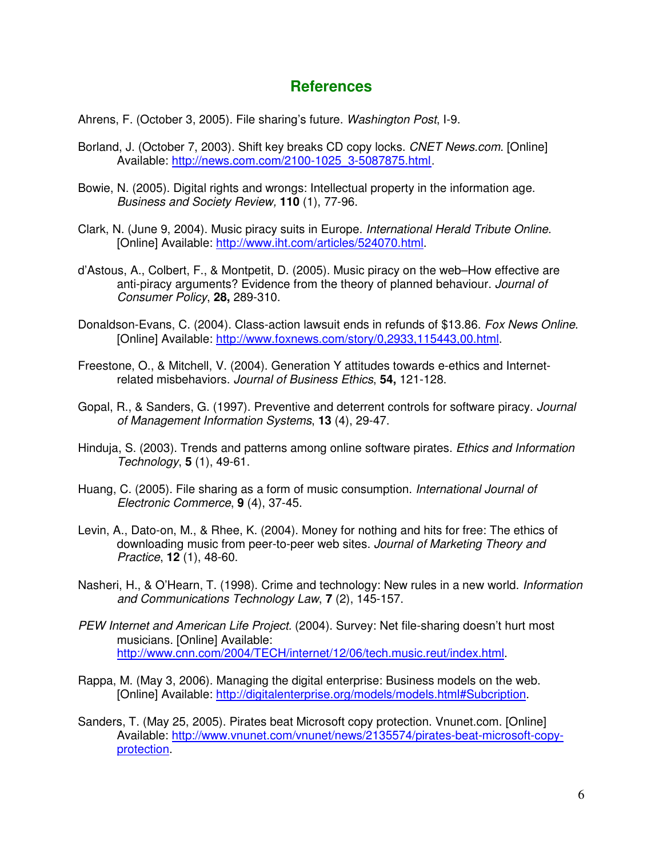### **References**

Ahrens, F. (October 3, 2005). File sharing's future. Washington Post, I-9.

- Borland, J. (October 7, 2003). Shift key breaks CD copy locks. CNET News.com. [Online] Available: http://news.com.com/2100-1025\_3-5087875.html.
- Bowie, N. (2005). Digital rights and wrongs: Intellectual property in the information age. Business and Society Review, **110** (1), 77-96.
- Clark, N. (June 9, 2004). Music piracy suits in Europe. International Herald Tribute Online. [Online] Available: http://www.iht.com/articles/524070.html.
- d'Astous, A., Colbert, F., & Montpetit, D. (2005). Music piracy on the web–How effective are anti-piracy arguments? Evidence from the theory of planned behaviour. Journal of Consumer Policy, **28,** 289-310.
- Donaldson-Evans, C. (2004). Class-action lawsuit ends in refunds of \$13.86. Fox News Online. [Online] Available: http://www.foxnews.com/story/0,2933,115443,00.html.
- Freestone, O., & Mitchell, V. (2004). Generation Y attitudes towards e-ethics and Internetrelated misbehaviors. Journal of Business Ethics, **54,** 121-128.
- Gopal, R., & Sanders, G. (1997). Preventive and deterrent controls for software piracy. Journal of Management Information Systems, **13** (4), 29-47.
- Hinduja, S. (2003). Trends and patterns among online software pirates. Ethics and Information Technology, **5** (1), 49-61.
- Huang, C. (2005). File sharing as a form of music consumption. *International Journal of* Electronic Commerce, **9** (4), 37-45.
- Levin, A., Dato-on, M., & Rhee, K. (2004). Money for nothing and hits for free: The ethics of downloading music from peer-to-peer web sites. Journal of Marketing Theory and Practice, **12** (1), 48-60.
- Nasheri, H., & O'Hearn, T. (1998). Crime and technology: New rules in a new world. *Information* and Communications Technology Law, **7** (2), 145-157.
- PEW Internet and American Life Project. (2004). Survey: Net file-sharing doesn't hurt most musicians. [Online] Available: http://www.cnn.com/2004/TECH/internet/12/06/tech.music.reut/index.html.
- Rappa, M. (May 3, 2006). Managing the digital enterprise: Business models on the web. [Online] Available: http://digitalenterprise.org/models/models.html#Subcription.
- Sanders, T. (May 25, 2005). Pirates beat Microsoft copy protection. Vnunet.com. [Online] Available: http://www.vnunet.com/vnunet/news/2135574/pirates-beat-microsoft-copyprotection.